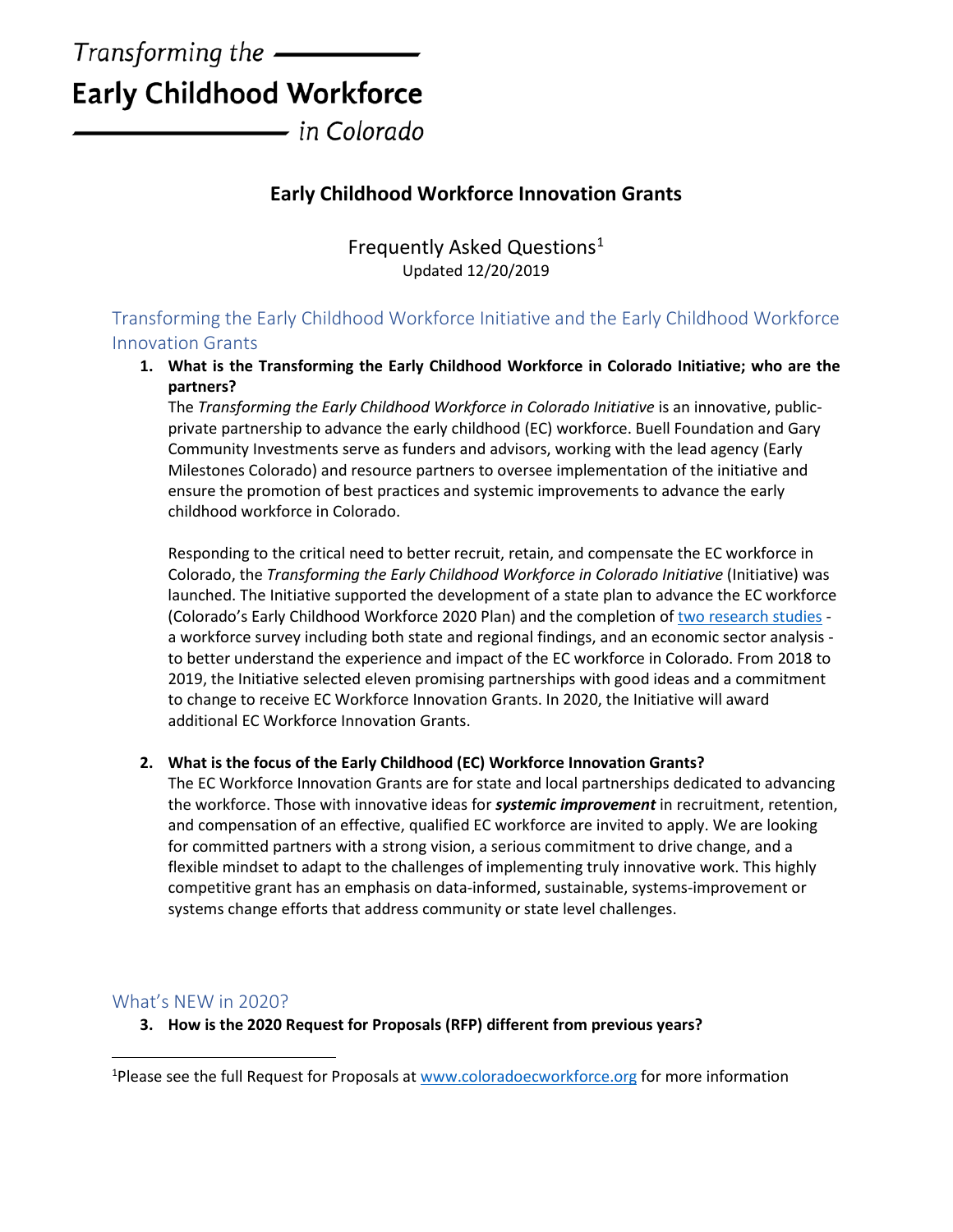# Transforming the  $-$ **Early Childhood Workforce**

- in Colorado

## **Early Childhood Workforce Innovation Grants**

Frequently Asked Questions<sup>[1](#page-0-0)</sup> Updated 12/20/2019

Transforming the Early Childhood Workforce Initiative and the Early Childhood Workforce Innovation Grants

**1. What is the Transforming the Early Childhood Workforce in Colorado Initiative; who are the partners?** 

The *Transforming the Early Childhood Workforce in Colorado Initiative* is an innovative, publicprivate partnership to advance the early childhood (EC) workforce. Buell Foundation and Gary Community Investments serve as funders and advisors, working with the lead agency (Early Milestones Colorado) and resource partners to oversee implementation of the initiative and ensure the promotion of best practices and systemic improvements to advance the early childhood workforce in Colorado.

Responding to the critical need to better recruit, retain, and compensate the EC workforce in Colorado, the *Transforming the Early Childhood Workforce in Colorado Initiative* (Initiative) was launched. The Initiative supported the development of a state plan to advance the EC workforce (Colorado's Early Childhood Workforce 2020 Plan) and the completion o[f two research studies](http://www.coloradoecworkforce.org/) a workforce survey including both state and regional findings, and an economic sector analysis to better understand the experience and impact of the EC workforce in Colorado. From 2018 to 2019, the Initiative selected eleven promising partnerships with good ideas and a commitment to change to receive EC Workforce Innovation Grants. In 2020, the Initiative will award additional EC Workforce Innovation Grants.

## **2. What is the focus of the Early Childhood (EC) Workforce Innovation Grants?**

The EC Workforce Innovation Grants are for state and local partnerships dedicated to advancing the workforce. Those with innovative ideas for *systemic improvement* in recruitment, retention, and compensation of an effective, qualified EC workforce are invited to apply. We are looking for committed partners with a strong vision, a serious commitment to drive change, and a flexible mindset to adapt to the challenges of implementing truly innovative work. This highly competitive grant has an emphasis on data-informed, sustainable, systems-improvement or systems change efforts that address community or state level challenges.

## What's NEW in 2020?

**3. How is the 2020 Request for Proposals (RFP) different from previous years?** 

<span id="page-0-0"></span><sup>&</sup>lt;sup>1</sup>Please see the full Request for Proposals at [www.coloradoecworkforce.org](http://www.coloradoecworkforce.org/) for more information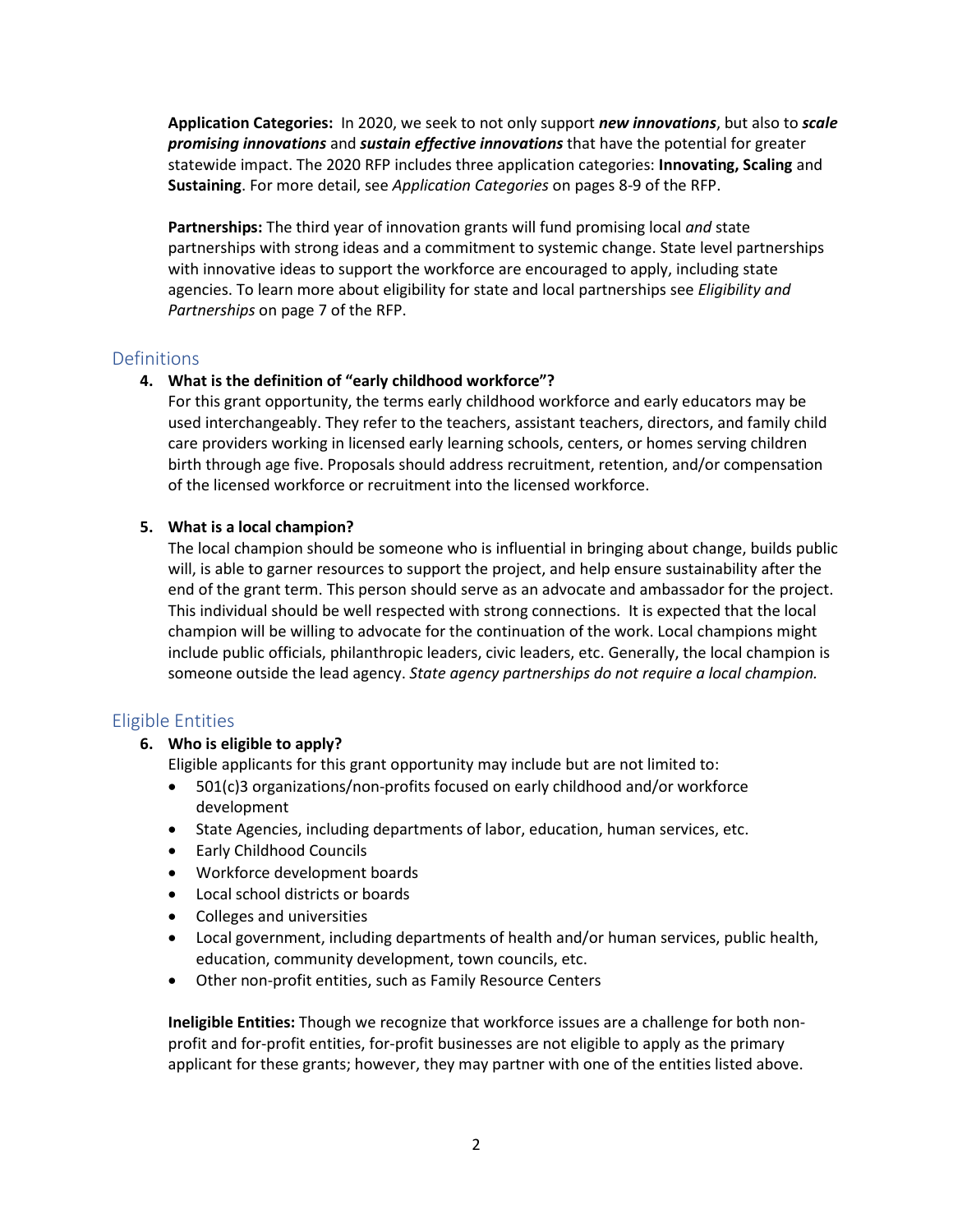**Application Categories:** In 2020, we seek to not only support *new innovations*, but also to *scale promising innovations* and *sustain effective innovations* that have the potential for greater statewide impact. The 2020 RFP includes three application categories: **Innovating, Scaling** and **Sustaining**. For more detail, see *Application Categories* on pages 8-9 of the RFP.

**Partnerships:** The third year of innovation grants will fund promising local *and* state partnerships with strong ideas and a commitment to systemic change. State level partnerships with innovative ideas to support the workforce are encouraged to apply, including state agencies. To learn more about eligibility for state and local partnerships see *Eligibility and Partnerships* on page 7 of the RFP.

## **Definitions**

## **4. What is the definition of "early childhood workforce"?**

For this grant opportunity, the terms early childhood workforce and early educators may be used interchangeably. They refer to the teachers, assistant teachers, directors, and family child care providers working in licensed early learning schools, centers, or homes serving children birth through age five. Proposals should address recruitment, retention, and/or compensation of the licensed workforce or recruitment into the licensed workforce.

## **5. What is a local champion?**

The local champion should be someone who is influential in bringing about change, builds public will, is able to garner resources to support the project, and help ensure sustainability after the end of the grant term. This person should serve as an advocate and ambassador for the project. This individual should be well respected with strong connections. It is expected that the local champion will be willing to advocate for the continuation of the work. Local champions might include public officials, philanthropic leaders, civic leaders, etc. Generally, the local champion is someone outside the lead agency. *State agency partnerships do not require a local champion.* 

## Eligible Entities

## **6. Who is eligible to apply?**

Eligible applicants for this grant opportunity may include but are not limited to:

- 501(c)3 organizations/non-profits focused on early childhood and/or workforce development
- State Agencies, including departments of labor, education, human services, etc.
- Early Childhood Councils
- Workforce development boards
- Local school districts or boards
- Colleges and universities
- Local government, including departments of health and/or human services, public health, education, community development, town councils, etc.
- Other non-profit entities, such as Family Resource Centers

**Ineligible Entities:** Though we recognize that workforce issues are a challenge for both nonprofit and for-profit entities, for-profit businesses are not eligible to apply as the primary applicant for these grants; however, they may partner with one of the entities listed above.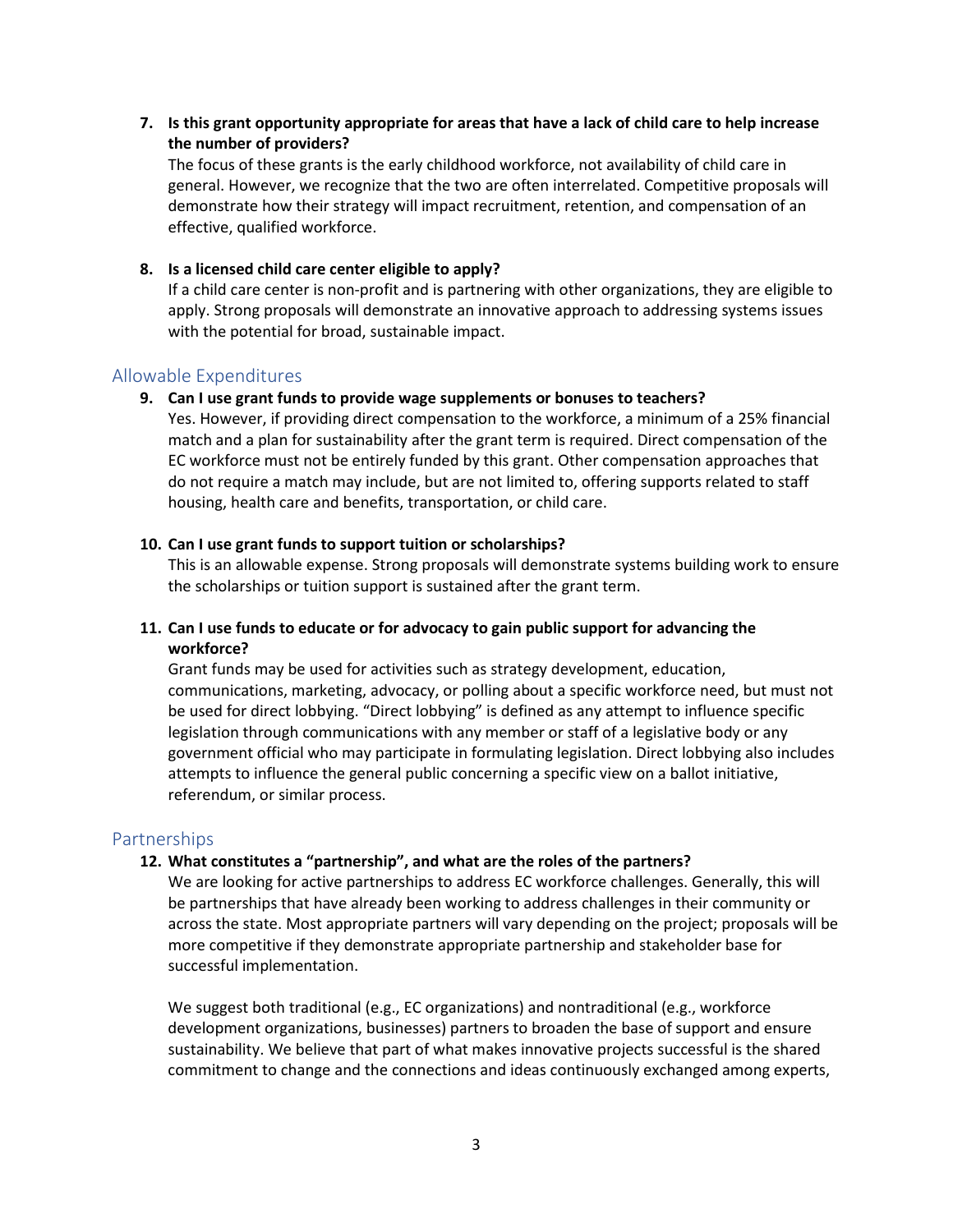**7. Is this grant opportunity appropriate for areas that have a lack of child care to help increase the number of providers?** 

The focus of these grants is the early childhood workforce, not availability of child care in general. However, we recognize that the two are often interrelated. Competitive proposals will demonstrate how their strategy will impact recruitment, retention, and compensation of an effective, qualified workforce.

#### **8. Is a licensed child care center eligible to apply?**

If a child care center is non-profit and is partnering with other organizations, they are eligible to apply. Strong proposals will demonstrate an innovative approach to addressing systems issues with the potential for broad, sustainable impact.

## Allowable Expenditures

#### **9. Can I use grant funds to provide wage supplements or bonuses to teachers?**

Yes. However, if providing direct compensation to the workforce, a minimum of a 25% financial match and a plan for sustainability after the grant term is required. Direct compensation of the EC workforce must not be entirely funded by this grant. Other compensation approaches that do not require a match may include, but are not limited to, offering supports related to staff housing, health care and benefits, transportation, or child care.

#### **10. Can I use grant funds to support tuition or scholarships?**

This is an allowable expense. Strong proposals will demonstrate systems building work to ensure the scholarships or tuition support is sustained after the grant term.

## **11. Can I use funds to educate or for advocacy to gain public support for advancing the workforce?**

Grant funds may be used for activities such as strategy development, education, communications, marketing, advocacy, or polling about a specific workforce need, but must not be used for direct lobbying. "Direct lobbying" is defined as any attempt to influence specific legislation through communications with any member or staff of a legislative body or any government official who may participate in formulating legislation. Direct lobbying also includes attempts to influence the general public concerning a specific view on a ballot initiative, referendum, or similar process.

## Partnerships

#### **12. What constitutes a "partnership", and what are the roles of the partners?**

We are looking for active partnerships to address EC workforce challenges. Generally, this will be partnerships that have already been working to address challenges in their community or across the state. Most appropriate partners will vary depending on the project; proposals will be more competitive if they demonstrate appropriate partnership and stakeholder base for successful implementation.

We suggest both traditional (e.g., EC organizations) and nontraditional (e.g., workforce development organizations, businesses) partners to broaden the base of support and ensure sustainability. We believe that part of what makes innovative projects successful is the shared commitment to change and the connections and ideas continuously exchanged among experts,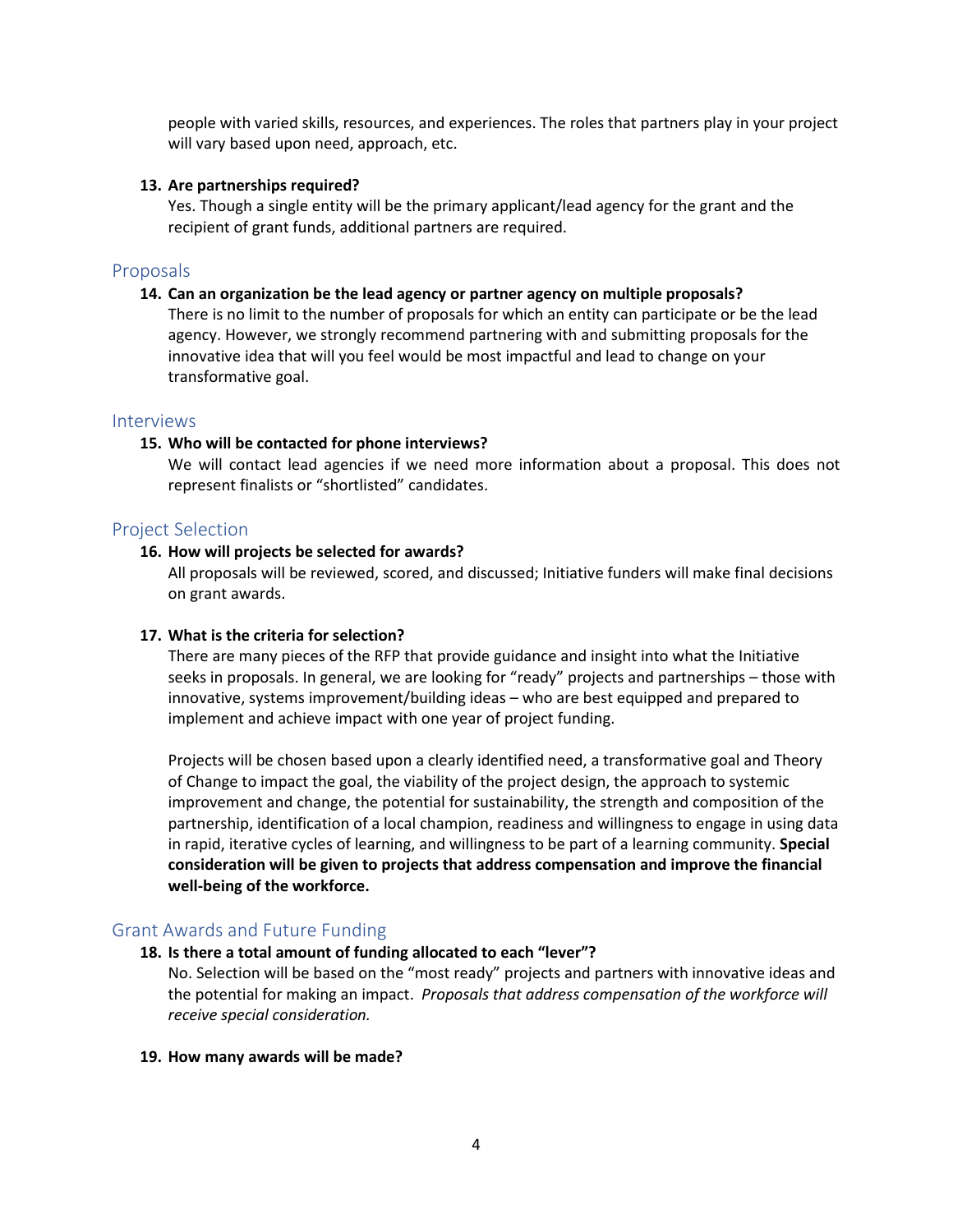people with varied skills, resources, and experiences. The roles that partners play in your project will vary based upon need, approach, etc.

#### **13. Are partnerships required?**

Yes. Though a single entity will be the primary applicant/lead agency for the grant and the recipient of grant funds, additional partners are required.

## Proposals

#### **14. Can an organization be the lead agency or partner agency on multiple proposals?**

There is no limit to the number of proposals for which an entity can participate or be the lead agency. However, we strongly recommend partnering with and submitting proposals for the innovative idea that will you feel would be most impactful and lead to change on your transformative goal.

## Interviews

#### **15. Who will be contacted for phone interviews?**

We will contact lead agencies if we need more information about a proposal. This does not represent finalists or "shortlisted" candidates.

## Project Selection

#### **16. How will projects be selected for awards?**

All proposals will be reviewed, scored, and discussed; Initiative funders will make final decisions on grant awards.

## **17. What is the criteria for selection?**

There are many pieces of the RFP that provide guidance and insight into what the Initiative seeks in proposals. In general, we are looking for "ready" projects and partnerships – those with innovative, systems improvement/building ideas – who are best equipped and prepared to implement and achieve impact with one year of project funding.

Projects will be chosen based upon a clearly identified need, a transformative goal and Theory of Change to impact the goal, the viability of the project design, the approach to systemic improvement and change, the potential for sustainability, the strength and composition of the partnership, identification of a local champion, readiness and willingness to engage in using data in rapid, iterative cycles of learning, and willingness to be part of a learning community. **Special consideration will be given to projects that address compensation and improve the financial well-being of the workforce.**

## Grant Awards and Future Funding

## **18. Is there a total amount of funding allocated to each "lever"?**

No. Selection will be based on the "most ready" projects and partners with innovative ideas and the potential for making an impact. *Proposals that address compensation of the workforce will receive special consideration.*

#### **19. How many awards will be made?**